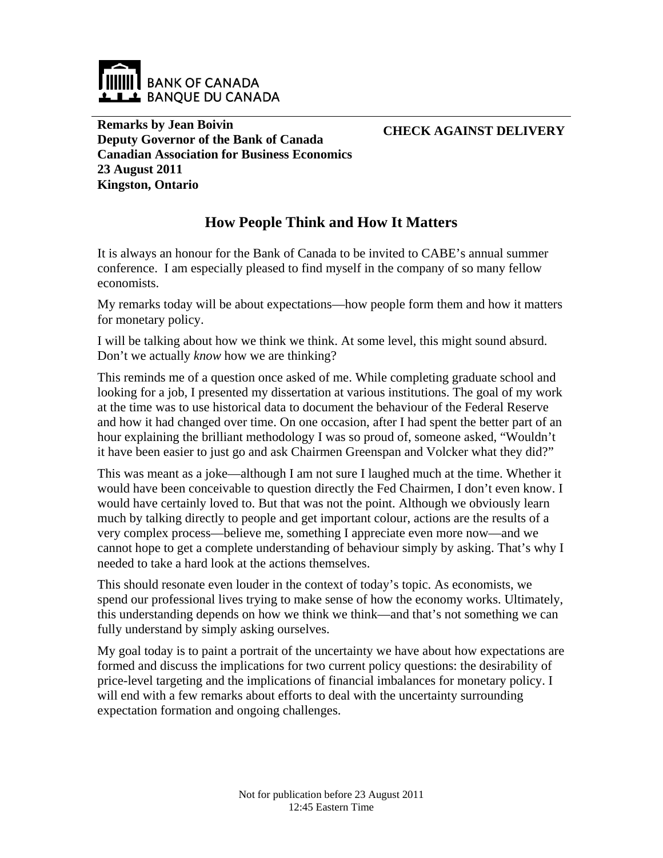

**Remarks by Jean Boivin Deputy Governor of the Bank of Canada Canadian Association for Business Economics 23 August 2011 Kingston, Ontario** 

**CHECK AGAINST DELIVERY**

# **How People Think and How It Matters**

It is always an honour for the Bank of Canada to be invited to CABE's annual summer conference. I am especially pleased to find myself in the company of so many fellow economists.

My remarks today will be about expectations—how people form them and how it matters for monetary policy.

I will be talking about how we think we think. At some level, this might sound absurd. Don't we actually *know* how we are thinking?

This reminds me of a question once asked of me. While completing graduate school and looking for a job, I presented my dissertation at various institutions. The goal of my work at the time was to use historical data to document the behaviour of the Federal Reserve and how it had changed over time. On one occasion, after I had spent the better part of an hour explaining the brilliant methodology I was so proud of, someone asked, "Wouldn't it have been easier to just go and ask Chairmen Greenspan and Volcker what they did?"

This was meant as a joke—although I am not sure I laughed much at the time. Whether it would have been conceivable to question directly the Fed Chairmen, I don't even know. I would have certainly loved to. But that was not the point. Although we obviously learn much by talking directly to people and get important colour, actions are the results of a very complex process—believe me, something I appreciate even more now—and we cannot hope to get a complete understanding of behaviour simply by asking. That's why I needed to take a hard look at the actions themselves.

This should resonate even louder in the context of today's topic. As economists, we spend our professional lives trying to make sense of how the economy works. Ultimately, this understanding depends on how we think we think—and that's not something we can fully understand by simply asking ourselves.

My goal today is to paint a portrait of the uncertainty we have about how expectations are formed and discuss the implications for two current policy questions: the desirability of price-level targeting and the implications of financial imbalances for monetary policy. I will end with a few remarks about efforts to deal with the uncertainty surrounding expectation formation and ongoing challenges.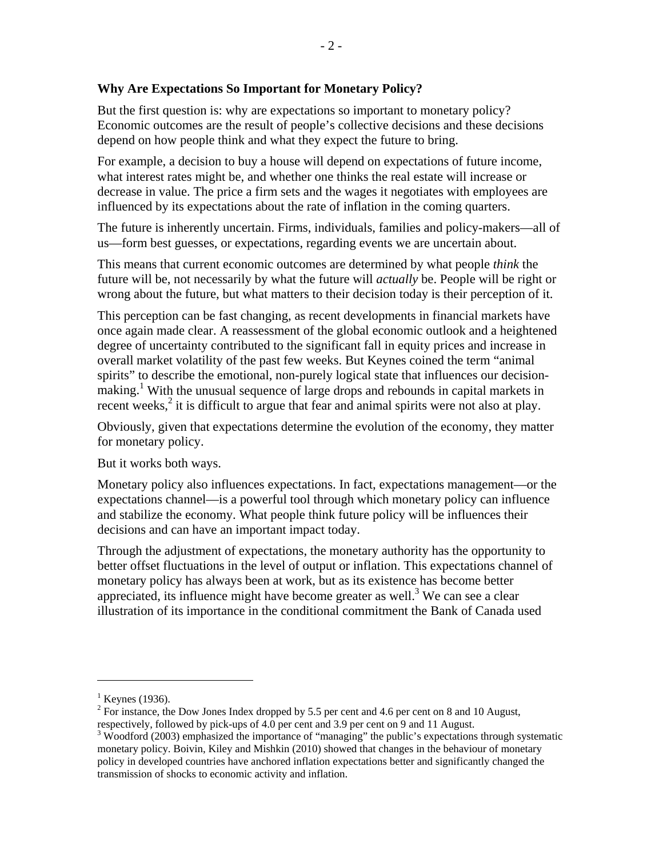## **Why Are Expectations So Important for Monetary Policy?**

But the first question is: why are expectations so important to monetary policy? Economic outcomes are the result of people's collective decisions and these decisions depend on how people think and what they expect the future to bring.

For example, a decision to buy a house will depend on expectations of future income, what interest rates might be, and whether one thinks the real estate will increase or decrease in value. The price a firm sets and the wages it negotiates with employees are influenced by its expectations about the rate of inflation in the coming quarters.

The future is inherently uncertain. Firms, individuals, families and policy-makers—all of us—form best guesses, or expectations, regarding events we are uncertain about.

This means that current economic outcomes are determined by what people *think* the future will be, not necessarily by what the future will *actually* be. People will be right or wrong about the future, but what matters to their decision today is their perception of it.

This perception can be fast changing, as recent developments in financial markets have once again made clear. A reassessment of the global economic outlook and a heightened degree of uncertainty contributed to the significant fall in equity prices and increase in overall market volatility of the past few weeks. But Keynes coined the term "animal spirits" to describe the emotional, non-purely logical state that influences our decisionmaking.<sup>1</sup> With the unusual sequence of large drops and rebounds in capital markets in recent weeks,<sup>2</sup> it is difficult to argue that fear and animal spirits were not also at play.

Obviously, given that expectations determine the evolution of the economy, they matter for monetary policy.

But it works both ways.

Monetary policy also influences expectations. In fact, expectations management—or the expectations channel—is a powerful tool through which monetary policy can influence and stabilize the economy. What people think future policy will be influences their decisions and can have an important impact today.

Through the adjustment of expectations, the monetary authority has the opportunity to better offset fluctuations in the level of output or inflation. This expectations channel of monetary policy has always been at work, but as its existence has become better appreciated, its influence might have become greater as well.<sup>3</sup> We can see a clear illustration of its importance in the conditional commitment the Bank of Canada used

 $\overline{a}$ 

 $<sup>1</sup>$  Keynes (1936).</sup>

<sup>&</sup>lt;sup>2</sup> For instance, the Dow Jones Index dropped by 5.5 per cent and 4.6 per cent on 8 and 10 August, respectively, followed by pick-ups of 4.0 per cent and 3.9 per cent on 9 and 11 August.

<sup>&</sup>lt;sup>3</sup> Woodford (2003) emphasized the importance of "managing" the public's expectations through systematic monetary policy. Boivin, Kiley and Mishkin (2010) showed that changes in the behaviour of monetary policy in developed countries have anchored inflation expectations better and significantly changed the transmission of shocks to economic activity and inflation.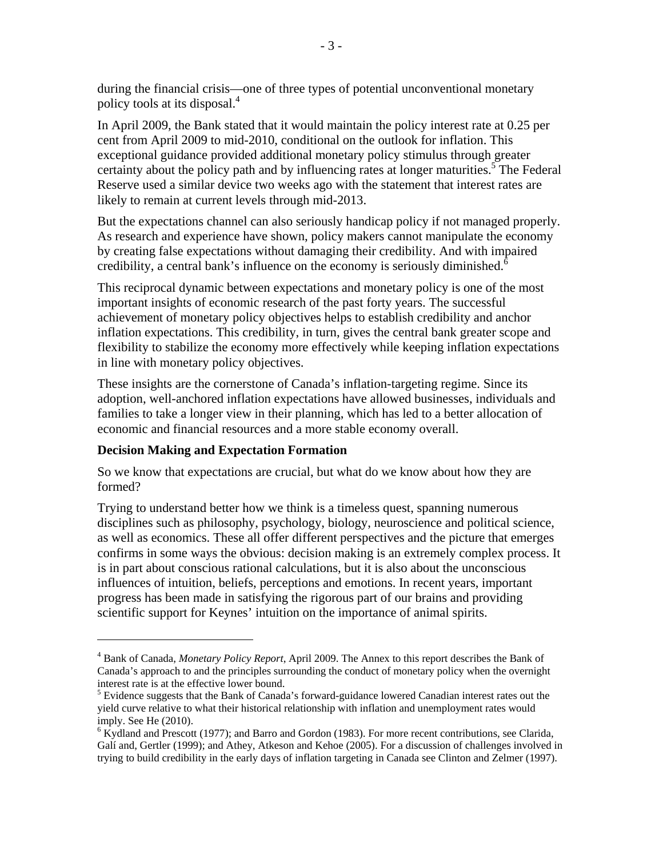during the financial crisis—one of three types of potential unconventional monetary policy tools at its disposal.4

In April 2009, the Bank stated that it would maintain the policy interest rate at 0.25 per cent from April 2009 to mid-2010, conditional on the outlook for inflation. This exceptional guidance provided additional monetary policy stimulus through greater certainty about the policy path and by influencing rates at longer maturities.<sup>5</sup> The Federal Reserve used a similar device two weeks ago with the statement that interest rates are likely to remain at current levels through mid-2013.

But the expectations channel can also seriously handicap policy if not managed properly. As research and experience have shown, policy makers cannot manipulate the economy by creating false expectations without damaging their credibility. And with impaired credibility, a central bank's influence on the economy is seriously diminished.<sup>6</sup>

This reciprocal dynamic between expectations and monetary policy is one of the most important insights of economic research of the past forty years. The successful achievement of monetary policy objectives helps to establish credibility and anchor inflation expectations. This credibility, in turn, gives the central bank greater scope and flexibility to stabilize the economy more effectively while keeping inflation expectations in line with monetary policy objectives.

These insights are the cornerstone of Canada's inflation-targeting regime. Since its adoption, well-anchored inflation expectations have allowed businesses, individuals and families to take a longer view in their planning, which has led to a better allocation of economic and financial resources and a more stable economy overall.

### **Decision Making and Expectation Formation**

1

So we know that expectations are crucial, but what do we know about how they are formed?

Trying to understand better how we think is a timeless quest, spanning numerous disciplines such as philosophy, psychology, biology, neuroscience and political science, as well as economics. These all offer different perspectives and the picture that emerges confirms in some ways the obvious: decision making is an extremely complex process. It is in part about conscious rational calculations, but it is also about the unconscious influences of intuition, beliefs, perceptions and emotions. In recent years, important progress has been made in satisfying the rigorous part of our brains and providing scientific support for Keynes' intuition on the importance of animal spirits.

<sup>4</sup> Bank of Canada, *Monetary Policy Report*, April 2009. The Annex to this report describes the Bank of Canada's approach to and the principles surrounding the conduct of monetary policy when the overnight interest rate is at the effective lower bound.

 $<sup>5</sup>$  Evidence suggests that the Bank of Canada's forward-guidance lowered Canadian interest rates out the</sup> yield curve relative to what their historical relationship with inflation and unemployment rates would imply. See He (2010).

<sup>&</sup>lt;sup>6</sup> Kydland and Prescott (1977); and Barro and Gordon (1983). For more recent contributions, see Clarida, Galí and, Gertler (1999); and Athey, Atkeson and Kehoe (2005). For a discussion of challenges involved in trying to build credibility in the early days of inflation targeting in Canada see Clinton and Zelmer (1997).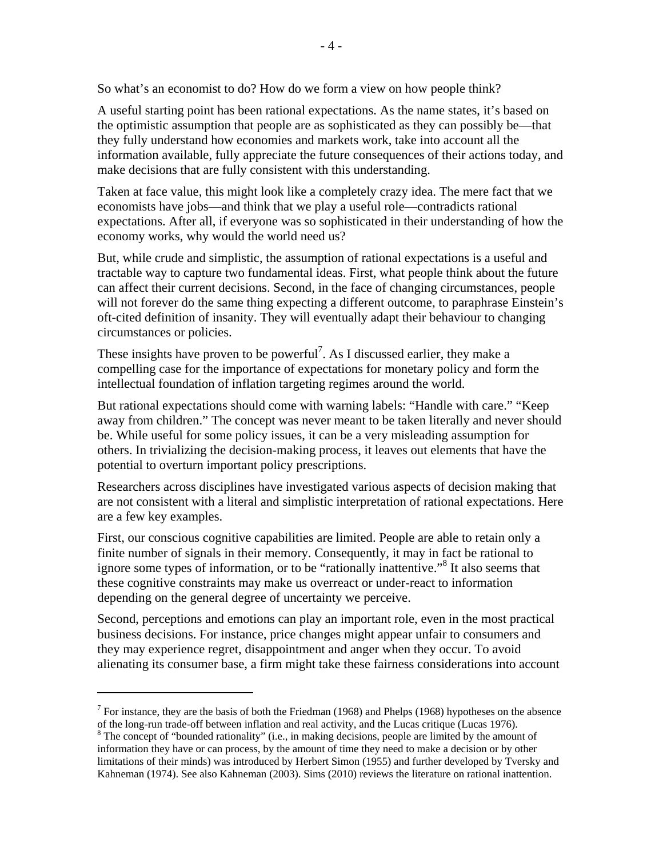So what's an economist to do? How do we form a view on how people think?

A useful starting point has been rational expectations. As the name states, it's based on the optimistic assumption that people are as sophisticated as they can possibly be—that they fully understand how economies and markets work, take into account all the information available, fully appreciate the future consequences of their actions today, and make decisions that are fully consistent with this understanding.

Taken at face value, this might look like a completely crazy idea. The mere fact that we economists have jobs—and think that we play a useful role—contradicts rational expectations. After all, if everyone was so sophisticated in their understanding of how the economy works, why would the world need us?

But, while crude and simplistic, the assumption of rational expectations is a useful and tractable way to capture two fundamental ideas. First, what people think about the future can affect their current decisions. Second, in the face of changing circumstances, people will not forever do the same thing expecting a different outcome, to paraphrase Einstein's oft-cited definition of insanity. They will eventually adapt their behaviour to changing circumstances or policies.

These insights have proven to be powerful<sup>7</sup>. As I discussed earlier, they make a compelling case for the importance of expectations for monetary policy and form the intellectual foundation of inflation targeting regimes around the world.

But rational expectations should come with warning labels: "Handle with care." "Keep away from children." The concept was never meant to be taken literally and never should be. While useful for some policy issues, it can be a very misleading assumption for others. In trivializing the decision-making process, it leaves out elements that have the potential to overturn important policy prescriptions.

Researchers across disciplines have investigated various aspects of decision making that are not consistent with a literal and simplistic interpretation of rational expectations. Here are a few key examples.

First, our conscious cognitive capabilities are limited. People are able to retain only a finite number of signals in their memory. Consequently, it may in fact be rational to ignore some types of information, or to be "rationally inattentive."8 It also seems that these cognitive constraints may make us overreact or under-react to information depending on the general degree of uncertainty we perceive.

Second, perceptions and emotions can play an important role, even in the most practical business decisions. For instance, price changes might appear unfair to consumers and they may experience regret, disappointment and anger when they occur. To avoid alienating its consumer base, a firm might take these fairness considerations into account

1

<sup>&</sup>lt;sup>7</sup> For instance, they are the basis of both the Friedman (1968) and Phelps (1968) hypotheses on the absence of the long-run trade-off between inflation and real activity, and the Lucas critique (Lucas 1976). 8

<sup>&</sup>lt;sup>8</sup> The concept of "bounded rationality" (i.e., in making decisions, people are limited by the amount of information they have or can process, by the amount of time they need to make a decision or by other limitations of their minds) was introduced by Herbert Simon (1955) and further developed by Tversky and Kahneman (1974). See also Kahneman (2003). Sims (2010) reviews the literature on rational inattention.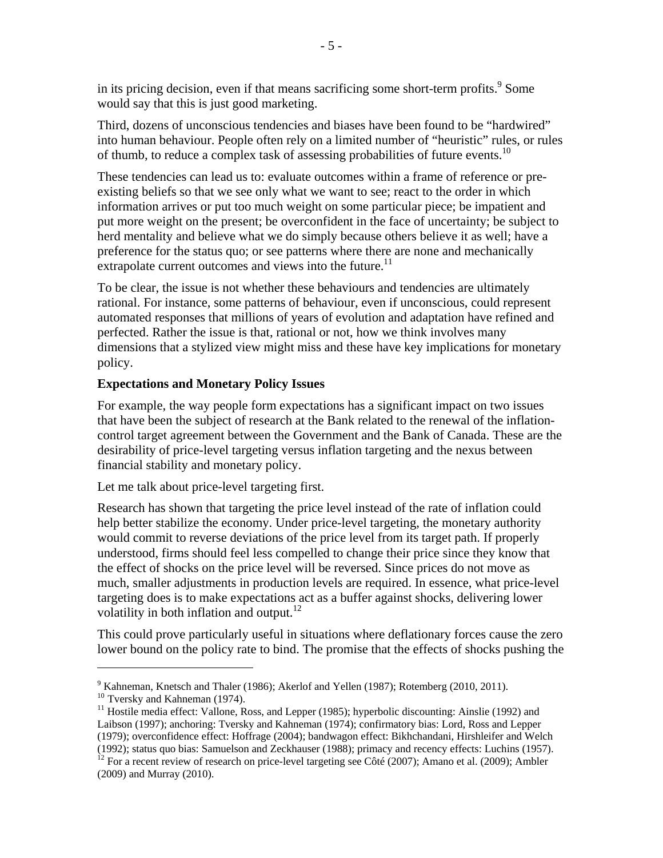in its pricing decision, even if that means sacrificing some short-term profits. $9$  Some would say that this is just good marketing.

Third, dozens of unconscious tendencies and biases have been found to be "hardwired" into human behaviour. People often rely on a limited number of "heuristic" rules, or rules of thumb, to reduce a complex task of assessing probabilities of future events.<sup>10</sup>

These tendencies can lead us to: evaluate outcomes within a frame of reference or preexisting beliefs so that we see only what we want to see; react to the order in which information arrives or put too much weight on some particular piece; be impatient and put more weight on the present; be overconfident in the face of uncertainty; be subject to herd mentality and believe what we do simply because others believe it as well; have a preference for the status quo; or see patterns where there are none and mechanically extrapolate current outcomes and views into the future.<sup>11</sup>

To be clear, the issue is not whether these behaviours and tendencies are ultimately rational. For instance, some patterns of behaviour, even if unconscious, could represent automated responses that millions of years of evolution and adaptation have refined and perfected. Rather the issue is that, rational or not, how we think involves many dimensions that a stylized view might miss and these have key implications for monetary policy.

#### **Expectations and Monetary Policy Issues**

For example, the way people form expectations has a significant impact on two issues that have been the subject of research at the Bank related to the renewal of the inflationcontrol target agreement between the Government and the Bank of Canada. These are the desirability of price-level targeting versus inflation targeting and the nexus between financial stability and monetary policy.

Let me talk about price-level targeting first.

Research has shown that targeting the price level instead of the rate of inflation could help better stabilize the economy. Under price-level targeting, the monetary authority would commit to reverse deviations of the price level from its target path. If properly understood, firms should feel less compelled to change their price since they know that the effect of shocks on the price level will be reversed. Since prices do not move as much, smaller adjustments in production levels are required. In essence, what price-level targeting does is to make expectations act as a buffer against shocks, delivering lower volatility in both inflation and output.<sup>12</sup>

This could prove particularly useful in situations where deflationary forces cause the zero lower bound on the policy rate to bind. The promise that the effects of shocks pushing the

 $\overline{a}$ 

<sup>&</sup>lt;sup>9</sup> Kahneman, Knetsch and Thaler (1986); Akerlof and Yellen (1987); Rotemberg (2010, 2011).

<sup>10</sup> Tversky and Kahneman (1974).<br><sup>11</sup> Hostile media effect: Vallone, Ross, and Lepper (1985); hyperbolic discounting: Ainslie (1992) and Laibson (1997); anchoring: Tversky and Kahneman (1974); confirmatory bias: Lord, Ross and Lepper (1979); overconfidence effect: Hoffrage (2004); bandwagon effect: Bikhchandani, Hirshleifer and Welch

<sup>(1992);</sup> status quo bias: Samuelson and Zeckhauser (1988); primacy and recency effects: Luchins (1957). 12 For a recent review of research on price-level targeting see Côté (2007); Amano et al. (2009); Ambler (2009) and Murray (2010).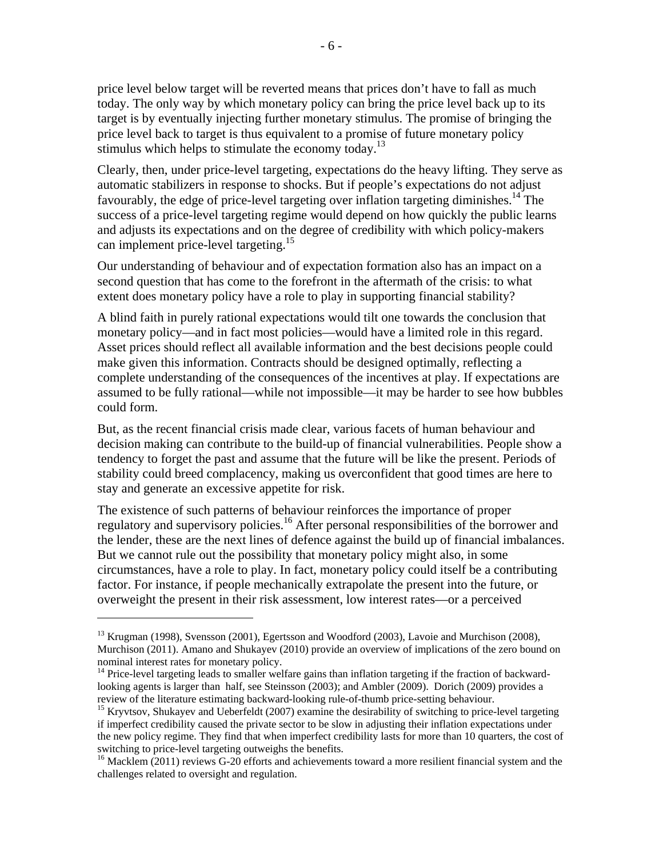price level below target will be reverted means that prices don't have to fall as much today. The only way by which monetary policy can bring the price level back up to its target is by eventually injecting further monetary stimulus. The promise of bringing the price level back to target is thus equivalent to a promise of future monetary policy stimulus which helps to stimulate the economy today.<sup>13</sup>

Clearly, then, under price-level targeting, expectations do the heavy lifting. They serve as automatic stabilizers in response to shocks. But if people's expectations do not adjust favourably, the edge of price-level targeting over inflation targeting diminishes.<sup>14</sup> The success of a price-level targeting regime would depend on how quickly the public learns and adjusts its expectations and on the degree of credibility with which policy-makers can implement price-level targeting.<sup>15</sup>

Our understanding of behaviour and of expectation formation also has an impact on a second question that has come to the forefront in the aftermath of the crisis: to what extent does monetary policy have a role to play in supporting financial stability?

A blind faith in purely rational expectations would tilt one towards the conclusion that monetary policy—and in fact most policies—would have a limited role in this regard. Asset prices should reflect all available information and the best decisions people could make given this information. Contracts should be designed optimally, reflecting a complete understanding of the consequences of the incentives at play. If expectations are assumed to be fully rational—while not impossible—it may be harder to see how bubbles could form.

But, as the recent financial crisis made clear, various facets of human behaviour and decision making can contribute to the build-up of financial vulnerabilities. People show a tendency to forget the past and assume that the future will be like the present. Periods of stability could breed complacency, making us overconfident that good times are here to stay and generate an excessive appetite for risk.

The existence of such patterns of behaviour reinforces the importance of proper regulatory and supervisory policies.16 After personal responsibilities of the borrower and the lender, these are the next lines of defence against the build up of financial imbalances. But we cannot rule out the possibility that monetary policy might also, in some circumstances, have a role to play. In fact, monetary policy could itself be a contributing factor. For instance, if people mechanically extrapolate the present into the future, or overweight the present in their risk assessment, low interest rates—or a perceived

 $\overline{a}$ 

 $13$  Krugman (1998), Svensson (2001), Egertsson and Woodford (2003), Lavoie and Murchison (2008), Murchison (2011). Amano and Shukayev (2010) provide an overview of implications of the zero bound on nominal interest rates for monetary policy.

<sup>&</sup>lt;sup>14</sup> Price-level targeting leads to smaller welfare gains than inflation targeting if the fraction of backwardlooking agents is larger than half, see Steinsson (2003); and Ambler (2009). Dorich (2009) provides a review of the literature estimating backward-looking rule-of-thumb price-setting behaviour.

<sup>&</sup>lt;sup>15</sup> Kryvtsov, Shukayev and Ueberfeldt (2007) examine the desirability of switching to price-level targeting if imperfect credibility caused the private sector to be slow in adjusting their inflation expectations under the new policy regime. They find that when imperfect credibility lasts for more than 10 quarters, the cost of switching to price-level targeting outweighs the benefits.<br><sup>16</sup> Macklem (2011) reviews G-20 efforts and achievements toward a more resilient financial system and the

challenges related to oversight and regulation.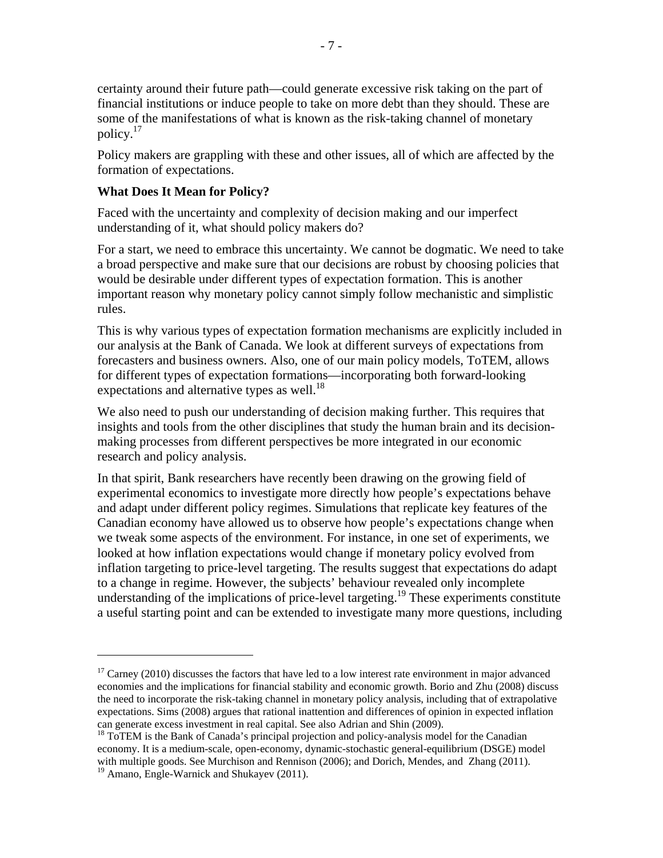certainty around their future path—could generate excessive risk taking on the part of financial institutions or induce people to take on more debt than they should. These are some of the manifestations of what is known as the risk-taking channel of monetary policy.17

Policy makers are grappling with these and other issues, all of which are affected by the formation of expectations.

## **What Does It Mean for Policy?**

 $\overline{a}$ 

Faced with the uncertainty and complexity of decision making and our imperfect understanding of it, what should policy makers do?

For a start, we need to embrace this uncertainty. We cannot be dogmatic. We need to take a broad perspective and make sure that our decisions are robust by choosing policies that would be desirable under different types of expectation formation. This is another important reason why monetary policy cannot simply follow mechanistic and simplistic rules.

This is why various types of expectation formation mechanisms are explicitly included in our analysis at the Bank of Canada. We look at different surveys of expectations from forecasters and business owners. Also, one of our main policy models, ToTEM, allows for different types of expectation formations—incorporating both forward-looking expectations and alternative types as well. $^{18}$ 

We also need to push our understanding of decision making further. This requires that insights and tools from the other disciplines that study the human brain and its decisionmaking processes from different perspectives be more integrated in our economic research and policy analysis.

In that spirit, Bank researchers have recently been drawing on the growing field of experimental economics to investigate more directly how people's expectations behave and adapt under different policy regimes. Simulations that replicate key features of the Canadian economy have allowed us to observe how people's expectations change when we tweak some aspects of the environment. For instance, in one set of experiments, we looked at how inflation expectations would change if monetary policy evolved from inflation targeting to price-level targeting. The results suggest that expectations do adapt to a change in regime. However, the subjects' behaviour revealed only incomplete understanding of the implications of price-level targeting.<sup>19</sup> These experiments constitute a useful starting point and can be extended to investigate many more questions, including

 $17$  Carney (2010) discusses the factors that have led to a low interest rate environment in major advanced economies and the implications for financial stability and economic growth. Borio and Zhu (2008) discuss the need to incorporate the risk-taking channel in monetary policy analysis, including that of extrapolative expectations. Sims (2008) argues that rational inattention and differences of opinion in expected inflation can generate excess investment in real capital. See also Adrian and Shin (2009).<br><sup>18</sup> ToTEM is the Bank of Canada's principal projection and policy-analysis model for the Canadian

economy. It is a medium-scale, open-economy, dynamic-stochastic general-equilibrium (DSGE) model with multiple goods. See Murchison and Rennison (2006); and Dorich, Mendes, and Zhang (2011). <sup>19</sup> Amano, Engle-Warnick and Shukayev (2011).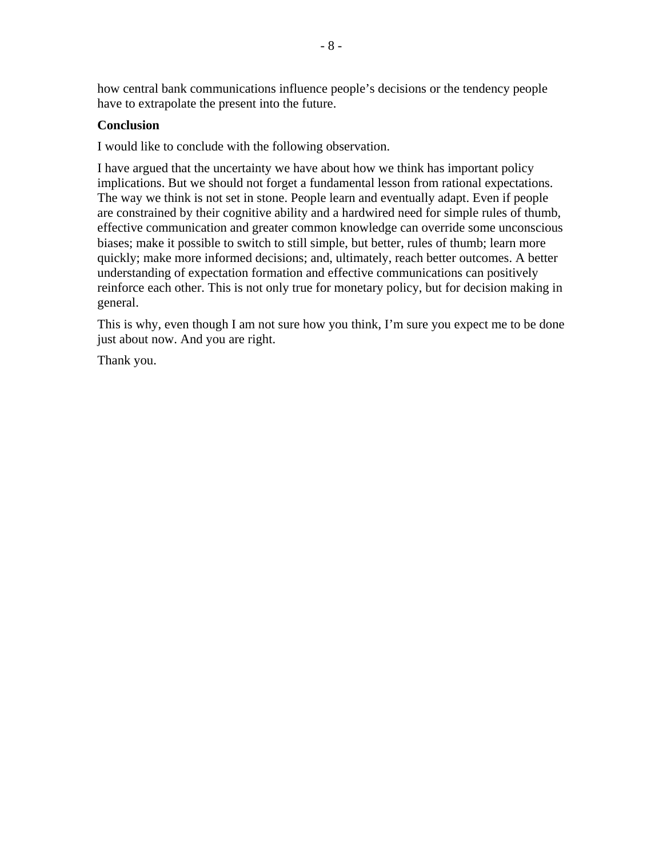how central bank communications influence people's decisions or the tendency people have to extrapolate the present into the future.

## **Conclusion**

I would like to conclude with the following observation.

I have argued that the uncertainty we have about how we think has important policy implications. But we should not forget a fundamental lesson from rational expectations. The way we think is not set in stone. People learn and eventually adapt. Even if people are constrained by their cognitive ability and a hardwired need for simple rules of thumb, effective communication and greater common knowledge can override some unconscious biases; make it possible to switch to still simple, but better, rules of thumb; learn more quickly; make more informed decisions; and, ultimately, reach better outcomes. A better understanding of expectation formation and effective communications can positively reinforce each other. This is not only true for monetary policy, but for decision making in general.

This is why, even though I am not sure how you think, I'm sure you expect me to be done just about now. And you are right.

Thank you.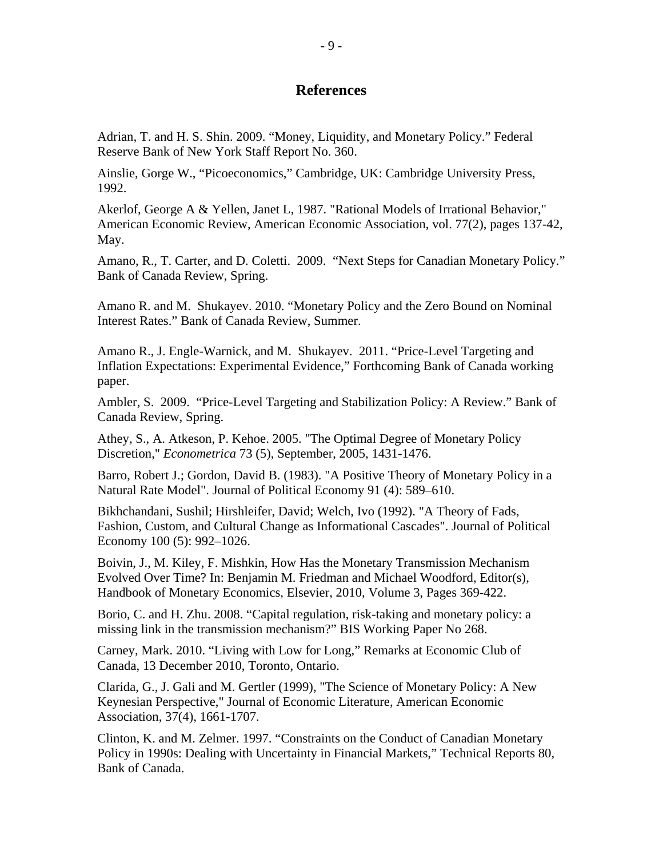# **References**

Adrian, T. and H. S. Shin. 2009. "Money, Liquidity, and Monetary Policy." Federal Reserve Bank of New York Staff Report No. 360.

Ainslie, Gorge W., "Picoeconomics," Cambridge, UK: Cambridge University Press, 1992.

Akerlof, George A & Yellen, Janet L, 1987. "Rational Models of Irrational Behavior," American Economic Review, American Economic Association, vol. 77(2), pages 137-42, May.

Amano, R., T. Carter, and D. Coletti. 2009. "Next Steps for Canadian Monetary Policy." Bank of Canada Review, Spring.

Amano R. and M. Shukayev. 2010. "Monetary Policy and the Zero Bound on Nominal Interest Rates." Bank of Canada Review, Summer.

Amano R., J. Engle-Warnick, and M. Shukayev. 2011. "Price-Level Targeting and Inflation Expectations: Experimental Evidence," Forthcoming Bank of Canada working paper.

Ambler, S. 2009. "Price-Level Targeting and Stabilization Policy: A Review." Bank of Canada Review, Spring.

Athey, S., A. Atkeson, P. Kehoe. 2005. "The Optimal Degree of Monetary Policy Discretion," *Econometrica* 73 (5), September, 2005, 1431-1476.

Barro, Robert J.; Gordon, David B. (1983). "A Positive Theory of Monetary Policy in a Natural Rate Model". Journal of Political Economy 91 (4): 589–610.

Bikhchandani, Sushil; Hirshleifer, David; Welch, Ivo (1992). "A Theory of Fads, Fashion, Custom, and Cultural Change as Informational Cascades". Journal of Political Economy 100 (5): 992–1026.

Boivin, J., M. Kiley, F. Mishkin, How Has the Monetary Transmission Mechanism Evolved Over Time? In: Benjamin M. Friedman and Michael Woodford, Editor(s), Handbook of Monetary Economics, Elsevier, 2010, Volume 3, Pages 369-422.

Borio, C. and H. Zhu. 2008. "Capital regulation, risk-taking and monetary policy: a missing link in the transmission mechanism?" BIS Working Paper No 268.

Carney, Mark. 2010. "Living with Low for Long," Remarks at Economic Club of Canada, 13 December 2010, Toronto, Ontario.

Clarida, G., J. Gali and M. Gertler (1999), "The Science of Monetary Policy: A New Keynesian Perspective," Journal of Economic Literature, American Economic Association, 37(4), 1661-1707.

Clinton, K. and M. Zelmer. 1997. "Constraints on the Conduct of Canadian Monetary Policy in 1990s: Dealing with Uncertainty in Financial Markets," Technical Reports 80, Bank of Canada.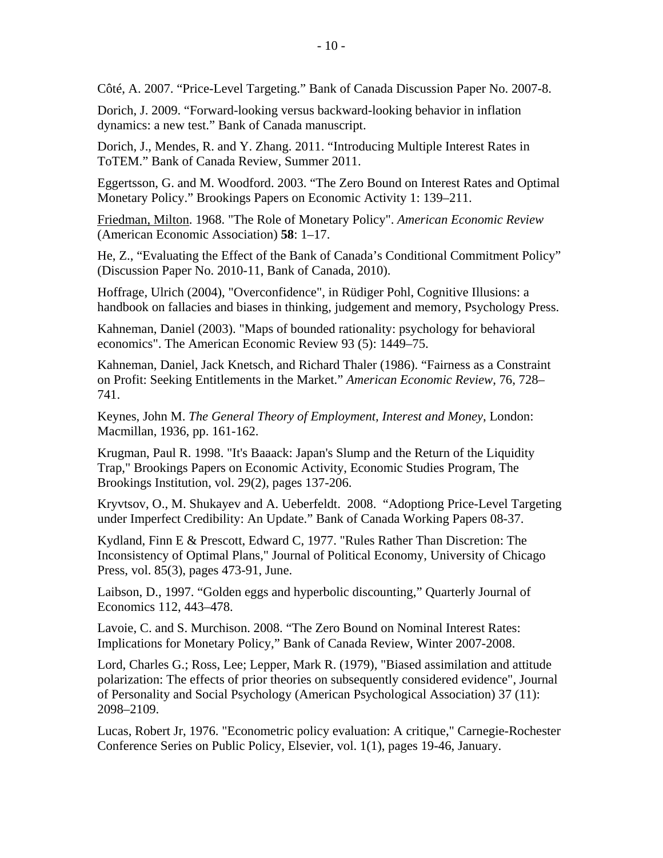Côté, A. 2007. "Price-Level Targeting." Bank of Canada Discussion Paper No. 2007-8.

Dorich, J. 2009. "Forward-looking versus backward-looking behavior in inflation dynamics: a new test." Bank of Canada manuscript.

Dorich, J., Mendes, R. and Y. Zhang. 2011. "Introducing Multiple Interest Rates in ToTEM." Bank of Canada Review, Summer 2011.

Eggertsson, G. and M. Woodford. 2003. "The Zero Bound on Interest Rates and Optimal Monetary Policy." Brookings Papers on Economic Activity 1: 139–211.

Friedman, Milton. 1968. "The Role of Monetary Policy". *American Economic Review* (American Economic Association) **58**: 1–17.

He, Z., "Evaluating the Effect of the Bank of Canada's Conditional Commitment Policy" (Discussion Paper No. 2010-11, Bank of Canada, 2010).

Hoffrage, Ulrich (2004), "Overconfidence", in Rüdiger Pohl, Cognitive Illusions: a handbook on fallacies and biases in thinking, judgement and memory, Psychology Press.

Kahneman, Daniel (2003). "Maps of bounded rationality: psychology for behavioral economics". The American Economic Review 93 (5): 1449–75.

Kahneman, Daniel, Jack Knetsch, and Richard Thaler (1986). "Fairness as a Constraint on Profit: Seeking Entitlements in the Market." *American Economic Review*, 76, 728– 741.

Keynes, John M. *The General Theory of Employment, Interest and Money*, London: Macmillan, 1936, pp. 161-162.

Krugman, Paul R. 1998. "It's Baaack: Japan's Slump and the Return of the Liquidity Trap," Brookings Papers on Economic Activity, Economic Studies Program, The Brookings Institution, vol. 29(2), pages 137-206.

Kryvtsov, O., M. Shukayev and A. Ueberfeldt. 2008. "Adoptiong Price-Level Targeting under Imperfect Credibility: An Update." Bank of Canada Working Papers 08-37.

Kydland, Finn E & Prescott, Edward C, 1977. "Rules Rather Than Discretion: The Inconsistency of Optimal Plans," Journal of Political Economy, University of Chicago Press, vol. 85(3), pages 473-91, June.

Laibson, D., 1997. "Golden eggs and hyperbolic discounting," Quarterly Journal of Economics 112, 443–478.

Lavoie, C. and S. Murchison. 2008. "The Zero Bound on Nominal Interest Rates: Implications for Monetary Policy," Bank of Canada Review, Winter 2007-2008.

Lord, Charles G.; Ross, Lee; Lepper, Mark R. (1979), "Biased assimilation and attitude polarization: The effects of prior theories on subsequently considered evidence", Journal of Personality and Social Psychology (American Psychological Association) 37 (11): 2098–2109.

Lucas, Robert Jr, 1976. "Econometric policy evaluation: A critique," Carnegie-Rochester Conference Series on Public Policy, Elsevier, vol. 1(1), pages 19-46, January.